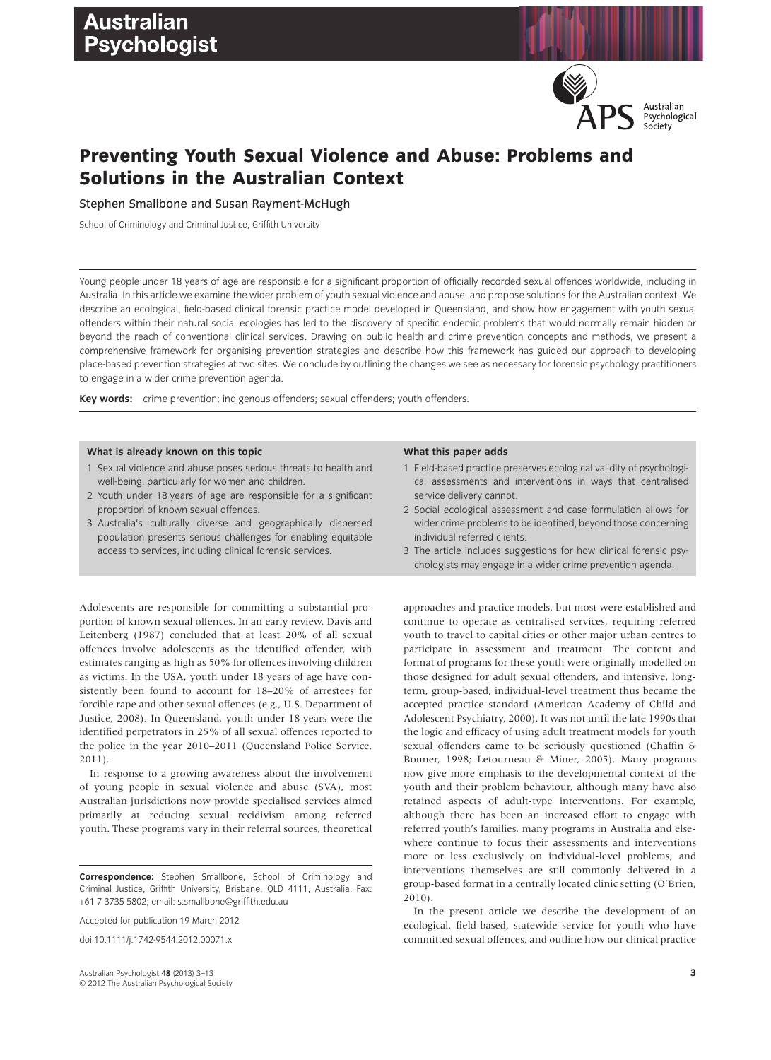

Australian Psychological Society

# **Preventing Youth Sexual Violence and Abuse: Problems and Solutions in the Australian Context**

Stephen Smallbone and Susan Rayment-McHugh

School of Criminology and Criminal Justice, Griffith University

Young people under 18 years of age are responsible for a significant proportion of officially recorded sexual offences worldwide, including in Australia. In this article we examine the wider problem of youth sexual violence and abuse, and propose solutions for the Australian context. We describe an ecological, field-based clinical forensic practice model developed in Queensland, and show how engagement with youth sexual offenders within their natural social ecologies has led to the discovery of specific endemic problems that would normally remain hidden or beyond the reach of conventional clinical services. Drawing on public health and crime prevention concepts and methods, we present a comprehensive framework for organising prevention strategies and describe how this framework has guided our approach to developing place-based prevention strategies at two sites. We conclude by outlining the changes we see as necessary for forensic psychology practitioners to engage in a wider crime prevention agenda.

**Key words:** crime prevention; indigenous offenders; sexual offenders; youth offenders.

#### **What is already known on this topic**

- 1 Sexual violence and abuse poses serious threats to health and well-being, particularly for women and children.
- 2 Youth under 18 years of age are responsible for a significant proportion of known sexual offences.
- 3 Australia's culturally diverse and geographically dispersed population presents serious challenges for enabling equitable access to services, including clinical forensic services.

Adolescents are responsible for committing a substantial proportion of known sexual offences. In an early review, Davis and Leitenberg (1987) concluded that at least 20% of all sexual offences involve adolescents as the identified offender, with estimates ranging as high as 50% for offences involving children as victims. In the USA, youth under 18 years of age have consistently been found to account for 18–20% of arrestees for forcible rape and other sexual offences (e.g., U.S. Department of Justice, 2008). In Queensland, youth under 18 years were the identified perpetrators in 25% of all sexual offences reported to the police in the year 2010–2011 (Queensland Police Service, 2011).

In response to a growing awareness about the involvement of young people in sexual violence and abuse (SVA), most Australian jurisdictions now provide specialised services aimed primarily at reducing sexual recidivism among referred youth. These programs vary in their referral sources, theoretical

**Correspondence:** Stephen Smallbone, School of Criminology and Criminal Justice, Griffith University, Brisbane, QLD 4111, Australia. Fax: +61 7 3735 5802; email: s.smallbone@griffith.edu.au

Accepted for publication 19 March 2012

doi:10.1111/j.1742-9544.2012.00071.x

#### **What this paper adds**

- 1 Field-based practice preserves ecological validity of psychological assessments and interventions in ways that centralised service delivery cannot.
- 2 Social ecological assessment and case formulation allows for wider crime problems to be identified, beyond those concerning individual referred clients.
- 3 The article includes suggestions for how clinical forensic psychologists may engage in a wider crime prevention agenda.

approaches and practice models, but most were established and continue to operate as centralised services, requiring referred youth to travel to capital cities or other major urban centres to participate in assessment and treatment. The content and format of programs for these youth were originally modelled on those designed for adult sexual offenders, and intensive, longterm, group-based, individual-level treatment thus became the accepted practice standard (American Academy of Child and Adolescent Psychiatry, 2000). It was not until the late 1990s that the logic and efficacy of using adult treatment models for youth sexual offenders came to be seriously questioned (Chaffin & Bonner, 1998; Letourneau & Miner, 2005). Many programs now give more emphasis to the developmental context of the youth and their problem behaviour, although many have also retained aspects of adult-type interventions. For example, although there has been an increased effort to engage with referred youth's families, many programs in Australia and elsewhere continue to focus their assessments and interventions more or less exclusively on individual-level problems, and interventions themselves are still commonly delivered in a group-based format in a centrally located clinic setting (O'Brien, 2010).

In the present article we describe the development of an ecological, field-based, statewide service for youth who have committed sexual offences, and outline how our clinical practice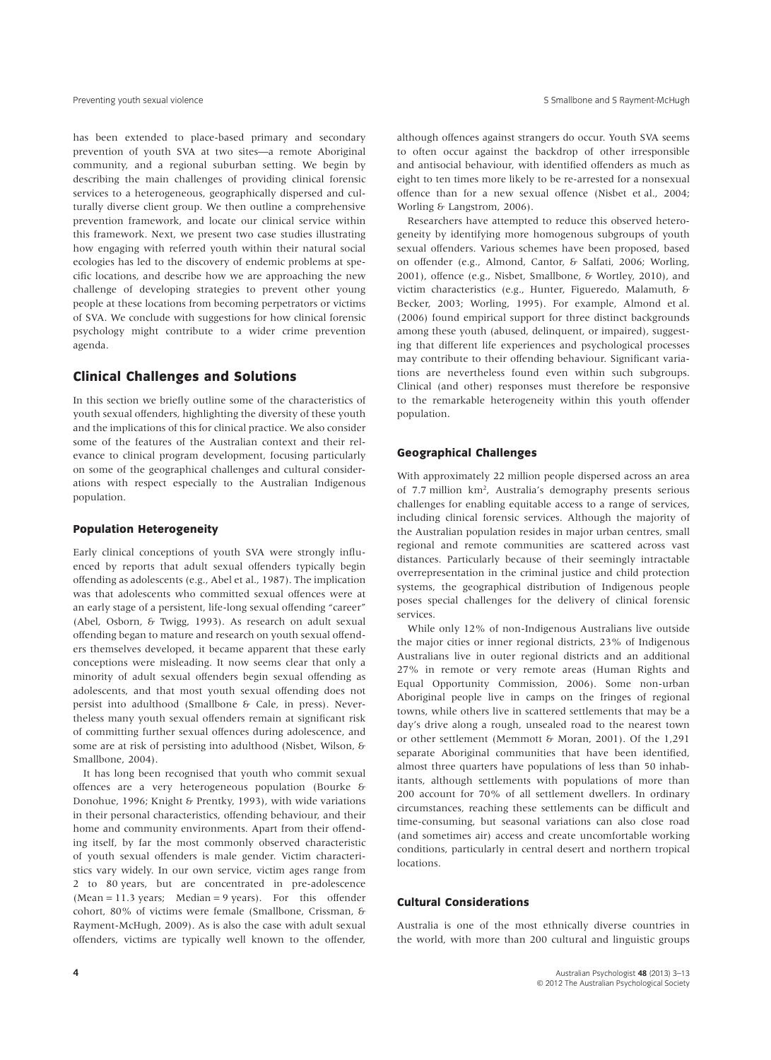has been extended to place-based primary and secondary prevention of youth SVA at two sites—a remote Aboriginal community, and a regional suburban setting. We begin by describing the main challenges of providing clinical forensic services to a heterogeneous, geographically dispersed and culturally diverse client group. We then outline a comprehensive prevention framework, and locate our clinical service within this framework. Next, we present two case studies illustrating how engaging with referred youth within their natural social ecologies has led to the discovery of endemic problems at specific locations, and describe how we are approaching the new challenge of developing strategies to prevent other young people at these locations from becoming perpetrators or victims of SVA. We conclude with suggestions for how clinical forensic psychology might contribute to a wider crime prevention agenda.

# **Clinical Challenges and Solutions**

In this section we briefly outline some of the characteristics of youth sexual offenders, highlighting the diversity of these youth and the implications of this for clinical practice. We also consider some of the features of the Australian context and their relevance to clinical program development, focusing particularly on some of the geographical challenges and cultural considerations with respect especially to the Australian Indigenous population.

#### **Population Heterogeneity**

Early clinical conceptions of youth SVA were strongly influenced by reports that adult sexual offenders typically begin offending as adolescents (e.g., Abel et al., 1987). The implication was that adolescents who committed sexual offences were at an early stage of a persistent, life-long sexual offending "career" (Abel, Osborn, & Twigg, 1993). As research on adult sexual offending began to mature and research on youth sexual offenders themselves developed, it became apparent that these early conceptions were misleading. It now seems clear that only a minority of adult sexual offenders begin sexual offending as adolescents, and that most youth sexual offending does not persist into adulthood (Smallbone & Cale, in press). Nevertheless many youth sexual offenders remain at significant risk of committing further sexual offences during adolescence, and some are at risk of persisting into adulthood (Nisbet, Wilson, & Smallbone, 2004).

It has long been recognised that youth who commit sexual offences are a very heterogeneous population (Bourke & Donohue, 1996; Knight & Prentky, 1993), with wide variations in their personal characteristics, offending behaviour, and their home and community environments. Apart from their offending itself, by far the most commonly observed characteristic of youth sexual offenders is male gender. Victim characteristics vary widely. In our own service, victim ages range from 2 to 80 years, but are concentrated in pre-adolescence (Mean = 11.3 years; Median = 9 years). For this offender cohort, 80% of victims were female (Smallbone, Crissman, & Rayment-McHugh, 2009). As is also the case with adult sexual offenders, victims are typically well known to the offender,

**4**

although offences against strangers do occur. Youth SVA seems to often occur against the backdrop of other irresponsible and antisocial behaviour, with identified offenders as much as eight to ten times more likely to be re-arrested for a nonsexual offence than for a new sexual offence (Nisbet et al., 2004; Worling & Langstrom, 2006).

Researchers have attempted to reduce this observed heterogeneity by identifying more homogenous subgroups of youth sexual offenders. Various schemes have been proposed, based on offender (e.g., Almond, Cantor, & Salfati, 2006; Worling, 2001), offence (e.g., Nisbet, Smallbone, & Wortley, 2010), and victim characteristics (e.g., Hunter, Figueredo, Malamuth, & Becker, 2003; Worling, 1995). For example, Almond et al. (2006) found empirical support for three distinct backgrounds among these youth (abused, delinquent, or impaired), suggesting that different life experiences and psychological processes may contribute to their offending behaviour. Significant variations are nevertheless found even within such subgroups. Clinical (and other) responses must therefore be responsive to the remarkable heterogeneity within this youth offender population.

### **Geographical Challenges**

With approximately 22 million people dispersed across an area of 7.7 million km<sup>2</sup>, Australia's demography presents serious challenges for enabling equitable access to a range of services, including clinical forensic services. Although the majority of the Australian population resides in major urban centres, small regional and remote communities are scattered across vast distances. Particularly because of their seemingly intractable overrepresentation in the criminal justice and child protection systems, the geographical distribution of Indigenous people poses special challenges for the delivery of clinical forensic services.

While only 12% of non-Indigenous Australians live outside the major cities or inner regional districts, 23% of Indigenous Australians live in outer regional districts and an additional 27% in remote or very remote areas (Human Rights and Equal Opportunity Commission, 2006). Some non-urban Aboriginal people live in camps on the fringes of regional towns, while others live in scattered settlements that may be a day's drive along a rough, unsealed road to the nearest town or other settlement (Memmott & Moran, 2001). Of the 1,291 separate Aboriginal communities that have been identified, almost three quarters have populations of less than 50 inhabitants, although settlements with populations of more than 200 account for 70% of all settlement dwellers. In ordinary circumstances, reaching these settlements can be difficult and time-consuming, but seasonal variations can also close road (and sometimes air) access and create uncomfortable working conditions, particularly in central desert and northern tropical locations.

# **Cultural Considerations**

Australia is one of the most ethnically diverse countries in the world, with more than 200 cultural and linguistic groups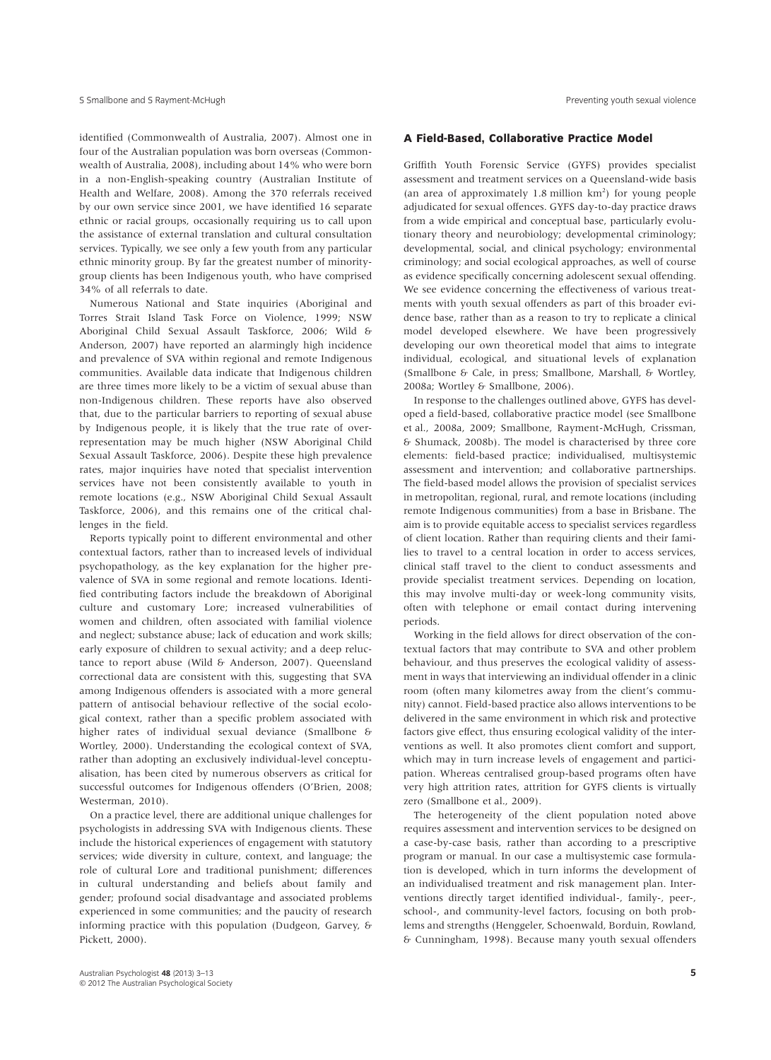identified (Commonwealth of Australia, 2007). Almost one in four of the Australian population was born overseas (Commonwealth of Australia, 2008), including about 14% who were born in a non-English-speaking country (Australian Institute of Health and Welfare, 2008). Among the 370 referrals received by our own service since 2001, we have identified 16 separate ethnic or racial groups, occasionally requiring us to call upon the assistance of external translation and cultural consultation services. Typically, we see only a few youth from any particular ethnic minority group. By far the greatest number of minoritygroup clients has been Indigenous youth, who have comprised 34% of all referrals to date.

Numerous National and State inquiries (Aboriginal and Torres Strait Island Task Force on Violence, 1999; NSW Aboriginal Child Sexual Assault Taskforce, 2006; Wild & Anderson, 2007) have reported an alarmingly high incidence and prevalence of SVA within regional and remote Indigenous communities. Available data indicate that Indigenous children are three times more likely to be a victim of sexual abuse than non-Indigenous children. These reports have also observed that, due to the particular barriers to reporting of sexual abuse by Indigenous people, it is likely that the true rate of overrepresentation may be much higher (NSW Aboriginal Child Sexual Assault Taskforce, 2006). Despite these high prevalence rates, major inquiries have noted that specialist intervention services have not been consistently available to youth in remote locations (e.g., NSW Aboriginal Child Sexual Assault Taskforce, 2006), and this remains one of the critical challenges in the field.

Reports typically point to different environmental and other contextual factors, rather than to increased levels of individual psychopathology, as the key explanation for the higher prevalence of SVA in some regional and remote locations. Identified contributing factors include the breakdown of Aboriginal culture and customary Lore; increased vulnerabilities of women and children, often associated with familial violence and neglect; substance abuse; lack of education and work skills; early exposure of children to sexual activity; and a deep reluctance to report abuse (Wild & Anderson, 2007). Queensland correctional data are consistent with this, suggesting that SVA among Indigenous offenders is associated with a more general pattern of antisocial behaviour reflective of the social ecological context, rather than a specific problem associated with higher rates of individual sexual deviance (Smallbone & Wortley, 2000). Understanding the ecological context of SVA, rather than adopting an exclusively individual-level conceptualisation, has been cited by numerous observers as critical for successful outcomes for Indigenous offenders (O'Brien, 2008; Westerman, 2010).

On a practice level, there are additional unique challenges for psychologists in addressing SVA with Indigenous clients. These include the historical experiences of engagement with statutory services; wide diversity in culture, context, and language; the role of cultural Lore and traditional punishment; differences in cultural understanding and beliefs about family and gender; profound social disadvantage and associated problems experienced in some communities; and the paucity of research informing practice with this population (Dudgeon, Garvey, & Pickett, 2000).

#### **A Field-Based, Collaborative Practice Model**

Griffith Youth Forensic Service (GYFS) provides specialist assessment and treatment services on a Queensland-wide basis (an area of approximately 1.8 million km2 ) for young people adjudicated for sexual offences. GYFS day-to-day practice draws from a wide empirical and conceptual base, particularly evolutionary theory and neurobiology; developmental criminology; developmental, social, and clinical psychology; environmental criminology; and social ecological approaches, as well of course as evidence specifically concerning adolescent sexual offending. We see evidence concerning the effectiveness of various treatments with youth sexual offenders as part of this broader evidence base, rather than as a reason to try to replicate a clinical model developed elsewhere. We have been progressively developing our own theoretical model that aims to integrate individual, ecological, and situational levels of explanation (Smallbone & Cale, in press; Smallbone, Marshall, & Wortley, 2008a; Wortley & Smallbone, 2006).

In response to the challenges outlined above, GYFS has developed a field-based, collaborative practice model (see Smallbone et al., 2008a, 2009; Smallbone, Rayment-McHugh, Crissman, & Shumack, 2008b). The model is characterised by three core elements: field-based practice; individualised, multisystemic assessment and intervention; and collaborative partnerships. The field-based model allows the provision of specialist services in metropolitan, regional, rural, and remote locations (including remote Indigenous communities) from a base in Brisbane. The aim is to provide equitable access to specialist services regardless of client location. Rather than requiring clients and their families to travel to a central location in order to access services, clinical staff travel to the client to conduct assessments and provide specialist treatment services. Depending on location, this may involve multi-day or week-long community visits, often with telephone or email contact during intervening periods.

Working in the field allows for direct observation of the contextual factors that may contribute to SVA and other problem behaviour, and thus preserves the ecological validity of assessment in ways that interviewing an individual offender in a clinic room (often many kilometres away from the client's community) cannot. Field-based practice also allows interventions to be delivered in the same environment in which risk and protective factors give effect, thus ensuring ecological validity of the interventions as well. It also promotes client comfort and support, which may in turn increase levels of engagement and participation. Whereas centralised group-based programs often have very high attrition rates, attrition for GYFS clients is virtually zero (Smallbone et al., 2009).

The heterogeneity of the client population noted above requires assessment and intervention services to be designed on a case-by-case basis, rather than according to a prescriptive program or manual. In our case a multisystemic case formulation is developed, which in turn informs the development of an individualised treatment and risk management plan. Interventions directly target identified individual-, family-, peer-, school-, and community-level factors, focusing on both problems and strengths (Henggeler, Schoenwald, Borduin, Rowland, & Cunningham, 1998). Because many youth sexual offenders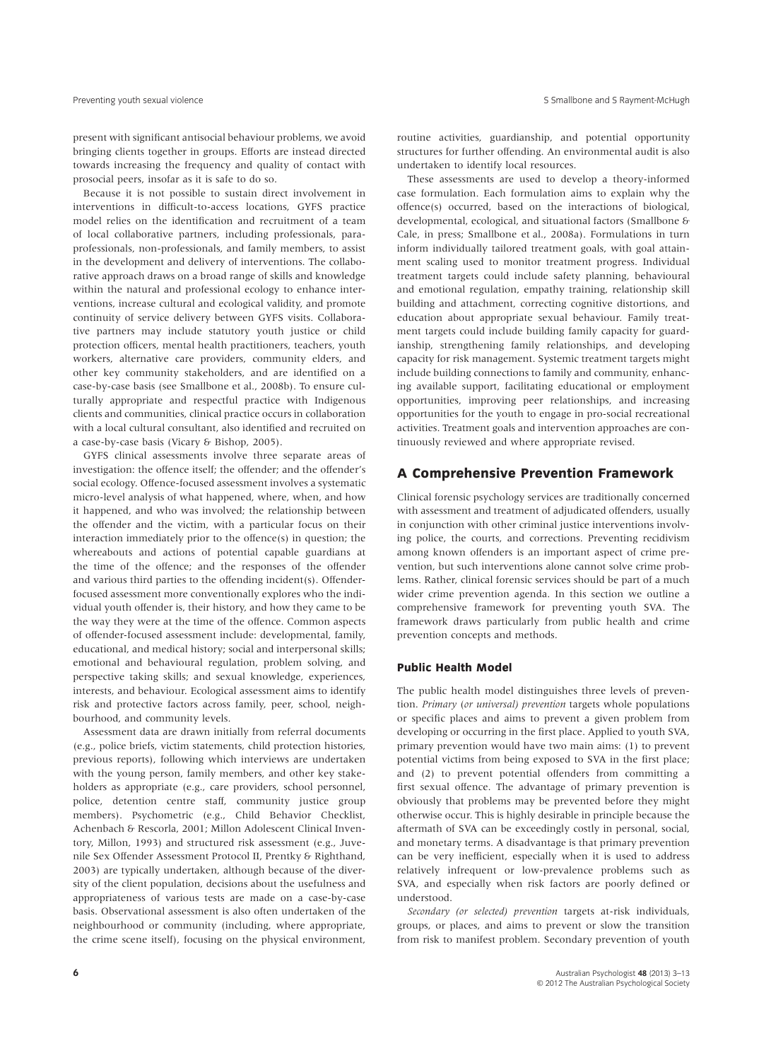present with significant antisocial behaviour problems, we avoid bringing clients together in groups. Efforts are instead directed towards increasing the frequency and quality of contact with prosocial peers, insofar as it is safe to do so.

Because it is not possible to sustain direct involvement in interventions in difficult-to-access locations, GYFS practice model relies on the identification and recruitment of a team of local collaborative partners, including professionals, paraprofessionals, non-professionals, and family members, to assist in the development and delivery of interventions. The collaborative approach draws on a broad range of skills and knowledge within the natural and professional ecology to enhance interventions, increase cultural and ecological validity, and promote continuity of service delivery between GYFS visits. Collaborative partners may include statutory youth justice or child protection officers, mental health practitioners, teachers, youth workers, alternative care providers, community elders, and other key community stakeholders, and are identified on a case-by-case basis (see Smallbone et al., 2008b). To ensure culturally appropriate and respectful practice with Indigenous clients and communities, clinical practice occurs in collaboration with a local cultural consultant, also identified and recruited on a case-by-case basis (Vicary & Bishop, 2005).

GYFS clinical assessments involve three separate areas of investigation: the offence itself; the offender; and the offender's social ecology. Offence-focused assessment involves a systematic micro-level analysis of what happened, where, when, and how it happened, and who was involved; the relationship between the offender and the victim, with a particular focus on their interaction immediately prior to the offence(s) in question; the whereabouts and actions of potential capable guardians at the time of the offence; and the responses of the offender and various third parties to the offending incident(s). Offenderfocused assessment more conventionally explores who the individual youth offender is, their history, and how they came to be the way they were at the time of the offence. Common aspects of offender-focused assessment include: developmental, family, educational, and medical history; social and interpersonal skills; emotional and behavioural regulation, problem solving, and perspective taking skills; and sexual knowledge, experiences, interests, and behaviour. Ecological assessment aims to identify risk and protective factors across family, peer, school, neighbourhood, and community levels.

Assessment data are drawn initially from referral documents (e.g., police briefs, victim statements, child protection histories, previous reports), following which interviews are undertaken with the young person, family members, and other key stakeholders as appropriate (e.g., care providers, school personnel, police, detention centre staff, community justice group members). Psychometric (e.g., Child Behavior Checklist, Achenbach & Rescorla, 2001; Millon Adolescent Clinical Inventory, Millon, 1993) and structured risk assessment (e.g., Juvenile Sex Offender Assessment Protocol II, Prentky & Righthand, 2003) are typically undertaken, although because of the diversity of the client population, decisions about the usefulness and appropriateness of various tests are made on a case-by-case basis. Observational assessment is also often undertaken of the neighbourhood or community (including, where appropriate, the crime scene itself), focusing on the physical environment,

routine activities, guardianship, and potential opportunity structures for further offending. An environmental audit is also undertaken to identify local resources.

These assessments are used to develop a theory-informed case formulation. Each formulation aims to explain why the offence(s) occurred, based on the interactions of biological, developmental, ecological, and situational factors (Smallbone & Cale, in press; Smallbone et al., 2008a). Formulations in turn inform individually tailored treatment goals, with goal attainment scaling used to monitor treatment progress. Individual treatment targets could include safety planning, behavioural and emotional regulation, empathy training, relationship skill building and attachment, correcting cognitive distortions, and education about appropriate sexual behaviour. Family treatment targets could include building family capacity for guardianship, strengthening family relationships, and developing capacity for risk management. Systemic treatment targets might include building connections to family and community, enhancing available support, facilitating educational or employment opportunities, improving peer relationships, and increasing opportunities for the youth to engage in pro-social recreational activities. Treatment goals and intervention approaches are continuously reviewed and where appropriate revised.

# **A Comprehensive Prevention Framework**

Clinical forensic psychology services are traditionally concerned with assessment and treatment of adjudicated offenders, usually in conjunction with other criminal justice interventions involving police, the courts, and corrections. Preventing recidivism among known offenders is an important aspect of crime prevention, but such interventions alone cannot solve crime problems. Rather, clinical forensic services should be part of a much wider crime prevention agenda. In this section we outline a comprehensive framework for preventing youth SVA. The framework draws particularly from public health and crime prevention concepts and methods.

#### **Public Health Model**

The public health model distinguishes three levels of prevention. *Primary* (*or universal) prevention* targets whole populations or specific places and aims to prevent a given problem from developing or occurring in the first place. Applied to youth SVA, primary prevention would have two main aims: (1) to prevent potential victims from being exposed to SVA in the first place; and (2) to prevent potential offenders from committing a first sexual offence. The advantage of primary prevention is obviously that problems may be prevented before they might otherwise occur. This is highly desirable in principle because the aftermath of SVA can be exceedingly costly in personal, social, and monetary terms. A disadvantage is that primary prevention can be very inefficient, especially when it is used to address relatively infrequent or low-prevalence problems such as SVA, and especially when risk factors are poorly defined or understood.

*Secondary (or selected) prevention* targets at-risk individuals, groups, or places, and aims to prevent or slow the transition from risk to manifest problem. Secondary prevention of youth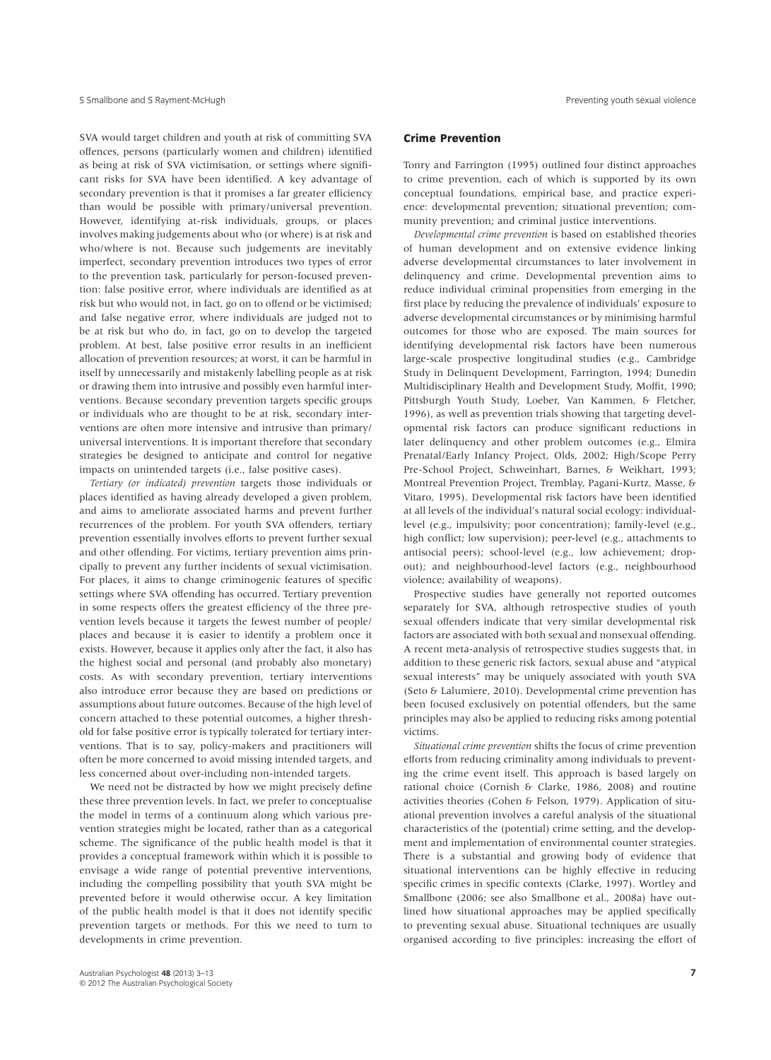SVA would target children and youth at risk of committing SVA offences, persons (particularly women and children) identified as being at risk of SVA victimisation, or settings where significant risks for SVA have been identified. A key advantage of secondary prevention is that it promises a far greater efficiency than would be possible with primary/universal prevention. However, identifying at-risk individuals, groups, or places involves making judgements about who (or where) is at risk and who/where is not. Because such judgements are inevitably imperfect, secondary prevention introduces two types of error to the prevention task, particularly for person-focused prevention: false positive error, where individuals are identified as at risk but who would not, in fact, go on to offend or be victimised; and false negative error, where individuals are judged not to be at risk but who do, in fact, go on to develop the targeted problem. At best, false positive error results in an inefficient allocation of prevention resources; at worst, it can be harmful in itself by unnecessarily and mistakenly labelling people as at risk or drawing them into intrusive and possibly even harmful interventions. Because secondary prevention targets specific groups or individuals who are thought to be at risk, secondary interventions are often more intensive and intrusive than primary/ universal interventions. It is important therefore that secondary strategies be designed to anticipate and control for negative impacts on unintended targets (i.e., false positive cases).

*Tertiary (or indicated) prevention* targets those individuals or places identified as having already developed a given problem, and aims to ameliorate associated harms and prevent further recurrences of the problem. For youth SVA offenders, tertiary prevention essentially involves efforts to prevent further sexual and other offending. For victims, tertiary prevention aims principally to prevent any further incidents of sexual victimisation. For places, it aims to change criminogenic features of specific settings where SVA offending has occurred. Tertiary prevention in some respects offers the greatest efficiency of the three prevention levels because it targets the fewest number of people/ places and because it is easier to identify a problem once it exists. However, because it applies only after the fact, it also has the highest social and personal (and probably also monetary) costs. As with secondary prevention, tertiary interventions also introduce error because they are based on predictions or assumptions about future outcomes. Because of the high level of concern attached to these potential outcomes, a higher threshold for false positive error is typically tolerated for tertiary interventions. That is to say, policy-makers and practitioners will often be more concerned to avoid missing intended targets, and less concerned about over-including non-intended targets.

We need not be distracted by how we might precisely define these three prevention levels. In fact, we prefer to conceptualise the model in terms of a continuum along which various prevention strategies might be located, rather than as a categorical scheme. The significance of the public health model is that it provides a conceptual framework within which it is possible to envisage a wide range of potential preventive interventions, including the compelling possibility that youth SVA might be prevented before it would otherwise occur. A key limitation of the public health model is that it does not identify specific prevention targets or methods. For this we need to turn to developments in crime prevention.

#### **Crime Prevention**

Tonry and Farrington (1995) outlined four distinct approaches to crime prevention, each of which is supported by its own conceptual foundations, empirical base, and practice experience: developmental prevention; situational prevention; community prevention; and criminal justice interventions.

*Developmental crime prevention* is based on established theories of human development and on extensive evidence linking adverse developmental circumstances to later involvement in delinquency and crime. Developmental prevention aims to reduce individual criminal propensities from emerging in the first place by reducing the prevalence of individuals' exposure to adverse developmental circumstances or by minimising harmful outcomes for those who are exposed. The main sources for identifying developmental risk factors have been numerous large-scale prospective longitudinal studies (e.g., Cambridge Study in Delinquent Development, Farrington, 1994; Dunedin Multidisciplinary Health and Development Study, Moffit, 1990; Pittsburgh Youth Study, Loeber, Van Kammen, & Fletcher, 1996), as well as prevention trials showing that targeting developmental risk factors can produce significant reductions in later delinquency and other problem outcomes (e.g., Elmira Prenatal/Early Infancy Project, Olds, 2002; High/Scope Perry Pre-School Project, Schweinhart, Barnes, & Weikhart, 1993; Montreal Prevention Project, Tremblay, Pagani-Kurtz, Masse, & Vitaro, 1995). Developmental risk factors have been identified at all levels of the individual's natural social ecology: individuallevel (e.g., impulsivity; poor concentration); family-level (e.g., high conflict; low supervision); peer-level (e.g., attachments to antisocial peers); school-level (e.g., low achievement; dropout); and neighbourhood-level factors (e.g., neighbourhood violence; availability of weapons).

Prospective studies have generally not reported outcomes separately for SVA, although retrospective studies of youth sexual offenders indicate that very similar developmental risk factors are associated with both sexual and nonsexual offending. A recent meta-analysis of retrospective studies suggests that, in addition to these generic risk factors, sexual abuse and "atypical sexual interests" may be uniquely associated with youth SVA (Seto & Lalumiere, 2010). Developmental crime prevention has been focused exclusively on potential offenders, but the same principles may also be applied to reducing risks among potential victims.

*Situational crime prevention* shifts the focus of crime prevention efforts from reducing criminality among individuals to preventing the crime event itself. This approach is based largely on rational choice (Cornish & Clarke, 1986, 2008) and routine activities theories (Cohen & Felson, 1979). Application of situational prevention involves a careful analysis of the situational characteristics of the (potential) crime setting, and the development and implementation of environmental counter strategies. There is a substantial and growing body of evidence that situational interventions can be highly effective in reducing specific crimes in specific contexts (Clarke, 1997). Wortley and Smallbone (2006; see also Smallbone et al., 2008a) have outlined how situational approaches may be applied specifically to preventing sexual abuse. Situational techniques are usually organised according to five principles: increasing the effort of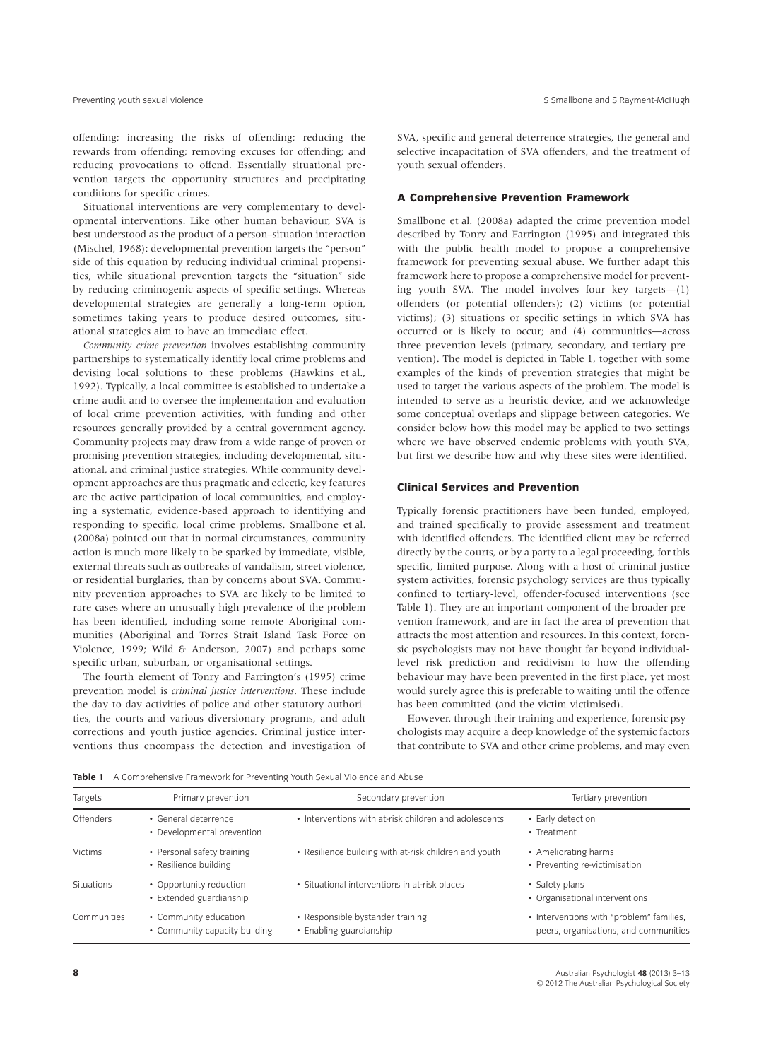offending; increasing the risks of offending; reducing the rewards from offending; removing excuses for offending; and reducing provocations to offend. Essentially situational prevention targets the opportunity structures and precipitating conditions for specific crimes.

Situational interventions are very complementary to developmental interventions. Like other human behaviour, SVA is best understood as the product of a person–situation interaction (Mischel, 1968): developmental prevention targets the "person" side of this equation by reducing individual criminal propensities, while situational prevention targets the "situation" side by reducing criminogenic aspects of specific settings. Whereas developmental strategies are generally a long-term option, sometimes taking years to produce desired outcomes, situational strategies aim to have an immediate effect.

*Community crime prevention* involves establishing community partnerships to systematically identify local crime problems and devising local solutions to these problems (Hawkins et al., 1992). Typically, a local committee is established to undertake a crime audit and to oversee the implementation and evaluation of local crime prevention activities, with funding and other resources generally provided by a central government agency. Community projects may draw from a wide range of proven or promising prevention strategies, including developmental, situational, and criminal justice strategies. While community development approaches are thus pragmatic and eclectic, key features are the active participation of local communities, and employing a systematic, evidence-based approach to identifying and responding to specific, local crime problems. Smallbone et al. (2008a) pointed out that in normal circumstances, community action is much more likely to be sparked by immediate, visible, external threats such as outbreaks of vandalism, street violence, or residential burglaries, than by concerns about SVA. Community prevention approaches to SVA are likely to be limited to rare cases where an unusually high prevalence of the problem has been identified, including some remote Aboriginal communities (Aboriginal and Torres Strait Island Task Force on Violence, 1999; Wild & Anderson, 2007) and perhaps some specific urban, suburban, or organisational settings.

The fourth element of Tonry and Farrington's (1995) crime prevention model is *criminal justice interventions*. These include the day-to-day activities of police and other statutory authorities, the courts and various diversionary programs, and adult corrections and youth justice agencies. Criminal justice interventions thus encompass the detection and investigation of SVA, specific and general deterrence strategies, the general and selective incapacitation of SVA offenders, and the treatment of youth sexual offenders.

### **A Comprehensive Prevention Framework**

Smallbone et al. (2008a) adapted the crime prevention model described by Tonry and Farrington (1995) and integrated this with the public health model to propose a comprehensive framework for preventing sexual abuse. We further adapt this framework here to propose a comprehensive model for preventing youth SVA. The model involves four key targets—(1) offenders (or potential offenders); (2) victims (or potential victims); (3) situations or specific settings in which SVA has occurred or is likely to occur; and (4) communities—across three prevention levels (primary, secondary, and tertiary prevention). The model is depicted in Table 1, together with some examples of the kinds of prevention strategies that might be used to target the various aspects of the problem. The model is intended to serve as a heuristic device, and we acknowledge some conceptual overlaps and slippage between categories. We consider below how this model may be applied to two settings where we have observed endemic problems with youth SVA, but first we describe how and why these sites were identified.

## **Clinical Services and Prevention**

Typically forensic practitioners have been funded, employed, and trained specifically to provide assessment and treatment with identified offenders. The identified client may be referred directly by the courts, or by a party to a legal proceeding, for this specific, limited purpose. Along with a host of criminal justice system activities, forensic psychology services are thus typically confined to tertiary-level, offender-focused interventions (see Table 1). They are an important component of the broader prevention framework, and are in fact the area of prevention that attracts the most attention and resources. In this context, forensic psychologists may not have thought far beyond individuallevel risk prediction and recidivism to how the offending behaviour may have been prevented in the first place, yet most would surely agree this is preferable to waiting until the offence has been committed (and the victim victimised).

However, through their training and experience, forensic psychologists may acquire a deep knowledge of the systemic factors that contribute to SVA and other crime problems, and may even

**Table 1** A Comprehensive Framework for Preventing Youth Sexual Violence and Abuse

| Targets     | Primary prevention                                     | Secondary prevention                                        | Tertiary prevention                                                               |
|-------------|--------------------------------------------------------|-------------------------------------------------------------|-----------------------------------------------------------------------------------|
| Offenders   | • General deterrence<br>• Developmental prevention     | • Interventions with at-risk children and adolescents       | • Early detection<br>• Treatment                                                  |
| Victims     | • Personal safety training<br>• Resilience building    | • Resilience building with at-risk children and youth       | • Ameliorating harms<br>• Preventing re-victimisation                             |
| Situations  | • Opportunity reduction<br>• Extended guardianship     | • Situational interventions in at-risk places               | • Safety plans<br>• Organisational interventions                                  |
| Communities | • Community education<br>• Community capacity building | • Responsible bystander training<br>• Enabling guardianship | • Interventions with "problem" families,<br>peers, organisations, and communities |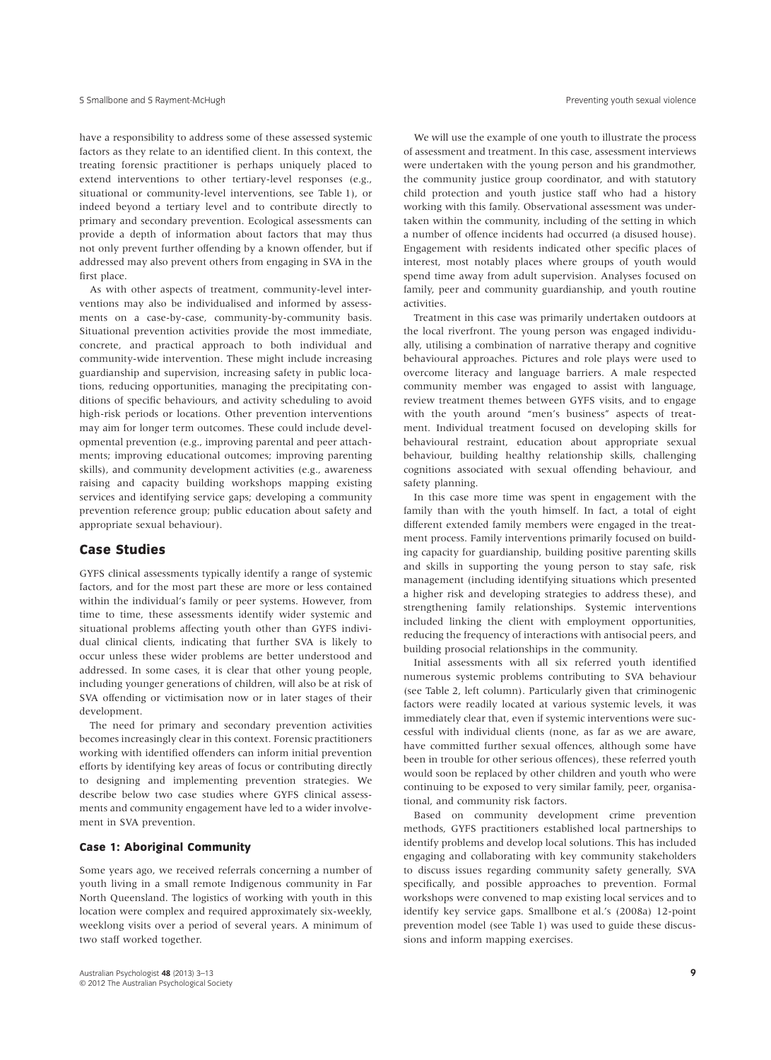have a responsibility to address some of these assessed systemic factors as they relate to an identified client. In this context, the treating forensic practitioner is perhaps uniquely placed to extend interventions to other tertiary-level responses (e.g., situational or community-level interventions, see Table 1), or indeed beyond a tertiary level and to contribute directly to primary and secondary prevention. Ecological assessments can provide a depth of information about factors that may thus not only prevent further offending by a known offender, but if addressed may also prevent others from engaging in SVA in the first place.

As with other aspects of treatment, community-level interventions may also be individualised and informed by assessments on a case-by-case, community-by-community basis. Situational prevention activities provide the most immediate, concrete, and practical approach to both individual and community-wide intervention. These might include increasing guardianship and supervision, increasing safety in public locations, reducing opportunities, managing the precipitating conditions of specific behaviours, and activity scheduling to avoid high-risk periods or locations. Other prevention interventions may aim for longer term outcomes. These could include developmental prevention (e.g., improving parental and peer attachments; improving educational outcomes; improving parenting skills), and community development activities (e.g., awareness raising and capacity building workshops mapping existing services and identifying service gaps; developing a community prevention reference group; public education about safety and appropriate sexual behaviour).

# **Case Studies**

GYFS clinical assessments typically identify a range of systemic factors, and for the most part these are more or less contained within the individual's family or peer systems. However, from time to time, these assessments identify wider systemic and situational problems affecting youth other than GYFS individual clinical clients, indicating that further SVA is likely to occur unless these wider problems are better understood and addressed. In some cases, it is clear that other young people, including younger generations of children, will also be at risk of SVA offending or victimisation now or in later stages of their development.

The need for primary and secondary prevention activities becomes increasingly clear in this context. Forensic practitioners working with identified offenders can inform initial prevention efforts by identifying key areas of focus or contributing directly to designing and implementing prevention strategies. We describe below two case studies where GYFS clinical assessments and community engagement have led to a wider involvement in SVA prevention.

### **Case 1: Aboriginal Community**

Some years ago, we received referrals concerning a number of youth living in a small remote Indigenous community in Far North Queensland. The logistics of working with youth in this location were complex and required approximately six-weekly, weeklong visits over a period of several years. A minimum of two staff worked together.

We will use the example of one youth to illustrate the process of assessment and treatment. In this case, assessment interviews were undertaken with the young person and his grandmother, the community justice group coordinator, and with statutory child protection and youth justice staff who had a history working with this family. Observational assessment was undertaken within the community, including of the setting in which a number of offence incidents had occurred (a disused house). Engagement with residents indicated other specific places of interest, most notably places where groups of youth would spend time away from adult supervision. Analyses focused on family, peer and community guardianship, and youth routine activities.

Treatment in this case was primarily undertaken outdoors at the local riverfront. The young person was engaged individually, utilising a combination of narrative therapy and cognitive behavioural approaches. Pictures and role plays were used to overcome literacy and language barriers. A male respected community member was engaged to assist with language, review treatment themes between GYFS visits, and to engage with the youth around "men's business" aspects of treatment. Individual treatment focused on developing skills for behavioural restraint, education about appropriate sexual behaviour, building healthy relationship skills, challenging cognitions associated with sexual offending behaviour, and safety planning.

In this case more time was spent in engagement with the family than with the youth himself. In fact, a total of eight different extended family members were engaged in the treatment process. Family interventions primarily focused on building capacity for guardianship, building positive parenting skills and skills in supporting the young person to stay safe, risk management (including identifying situations which presented a higher risk and developing strategies to address these), and strengthening family relationships. Systemic interventions included linking the client with employment opportunities, reducing the frequency of interactions with antisocial peers, and building prosocial relationships in the community.

Initial assessments with all six referred youth identified numerous systemic problems contributing to SVA behaviour (see Table 2, left column). Particularly given that criminogenic factors were readily located at various systemic levels, it was immediately clear that, even if systemic interventions were successful with individual clients (none, as far as we are aware, have committed further sexual offences, although some have been in trouble for other serious offences), these referred youth would soon be replaced by other children and youth who were continuing to be exposed to very similar family, peer, organisational, and community risk factors.

Based on community development crime prevention methods, GYFS practitioners established local partnerships to identify problems and develop local solutions. This has included engaging and collaborating with key community stakeholders to discuss issues regarding community safety generally, SVA specifically, and possible approaches to prevention. Formal workshops were convened to map existing local services and to identify key service gaps. Smallbone et al.'s (2008a) 12-point prevention model (see Table 1) was used to guide these discussions and inform mapping exercises.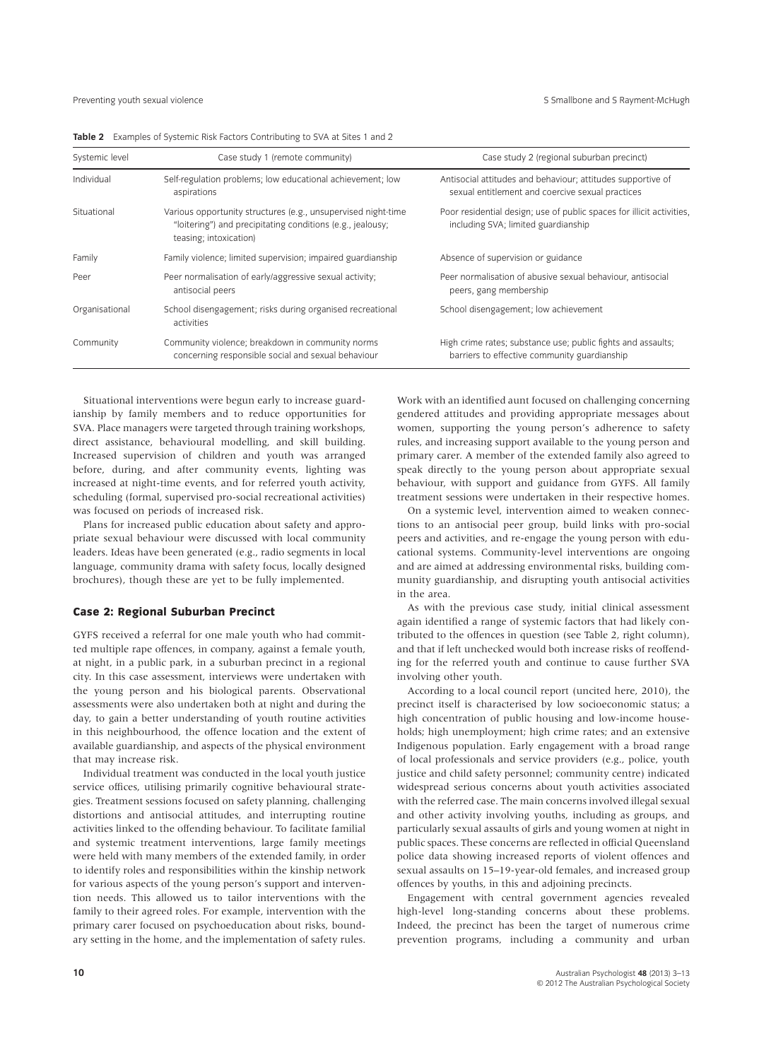| Systemic level | Case study 1 (remote community)                                                                                                                       | Case study 2 (regional suburban precinct)                                                                       |
|----------------|-------------------------------------------------------------------------------------------------------------------------------------------------------|-----------------------------------------------------------------------------------------------------------------|
| Individual     | Self-regulation problems; low educational achievement; low<br>aspirations                                                                             | Antisocial attitudes and behaviour; attitudes supportive of<br>sexual entitlement and coercive sexual practices |
| Situational    | Various opportunity structures (e.g., unsupervised night-time<br>"loitering") and precipitating conditions (e.g., jealousy;<br>teasing; intoxication) | Poor residential design; use of public spaces for illicit activities,<br>including SVA; limited guardianship    |
| Family         | Family violence; limited supervision; impaired guardianship                                                                                           | Absence of supervision or guidance                                                                              |
| Peer           | Peer normalisation of early/aggressive sexual activity;<br>antisocial peers                                                                           | Peer normalisation of abusive sexual behaviour, antisocial<br>peers, gang membership                            |
| Organisational | School disengagement; risks during organised recreational<br>activities                                                                               | School disengagement; low achievement                                                                           |
| Community      | Community violence; breakdown in community norms<br>concerning responsible social and sexual behaviour                                                | High crime rates; substance use; public fights and assaults;<br>barriers to effective community guardianship    |

**Table 2** Examples of Systemic Risk Factors Contributing to SVA at Sites 1 and 2

Situational interventions were begun early to increase guardianship by family members and to reduce opportunities for SVA. Place managers were targeted through training workshops, direct assistance, behavioural modelling, and skill building. Increased supervision of children and youth was arranged before, during, and after community events, lighting was increased at night-time events, and for referred youth activity, scheduling (formal, supervised pro-social recreational activities) was focused on periods of increased risk.

Plans for increased public education about safety and appropriate sexual behaviour were discussed with local community leaders. Ideas have been generated (e.g., radio segments in local language, community drama with safety focus, locally designed brochures), though these are yet to be fully implemented.

# **Case 2: Regional Suburban Precinct**

GYFS received a referral for one male youth who had committed multiple rape offences, in company, against a female youth, at night, in a public park, in a suburban precinct in a regional city. In this case assessment, interviews were undertaken with the young person and his biological parents. Observational assessments were also undertaken both at night and during the day, to gain a better understanding of youth routine activities in this neighbourhood, the offence location and the extent of available guardianship, and aspects of the physical environment that may increase risk.

Individual treatment was conducted in the local youth justice service offices, utilising primarily cognitive behavioural strategies. Treatment sessions focused on safety planning, challenging distortions and antisocial attitudes, and interrupting routine activities linked to the offending behaviour. To facilitate familial and systemic treatment interventions, large family meetings were held with many members of the extended family, in order to identify roles and responsibilities within the kinship network for various aspects of the young person's support and intervention needs. This allowed us to tailor interventions with the family to their agreed roles. For example, intervention with the primary carer focused on psychoeducation about risks, boundary setting in the home, and the implementation of safety rules.

Work with an identified aunt focused on challenging concerning gendered attitudes and providing appropriate messages about women, supporting the young person's adherence to safety rules, and increasing support available to the young person and primary carer. A member of the extended family also agreed to speak directly to the young person about appropriate sexual behaviour, with support and guidance from GYFS. All family treatment sessions were undertaken in their respective homes.

On a systemic level, intervention aimed to weaken connections to an antisocial peer group, build links with pro-social peers and activities, and re-engage the young person with educational systems. Community-level interventions are ongoing and are aimed at addressing environmental risks, building community guardianship, and disrupting youth antisocial activities in the area.

As with the previous case study, initial clinical assessment again identified a range of systemic factors that had likely contributed to the offences in question (see Table 2, right column), and that if left unchecked would both increase risks of reoffending for the referred youth and continue to cause further SVA involving other youth.

According to a local council report (uncited here, 2010), the precinct itself is characterised by low socioeconomic status; a high concentration of public housing and low-income households; high unemployment; high crime rates; and an extensive Indigenous population. Early engagement with a broad range of local professionals and service providers (e.g., police, youth justice and child safety personnel; community centre) indicated widespread serious concerns about youth activities associated with the referred case. The main concerns involved illegal sexual and other activity involving youths, including as groups, and particularly sexual assaults of girls and young women at night in public spaces. These concerns are reflected in official Queensland police data showing increased reports of violent offences and sexual assaults on 15–19-year-old females, and increased group offences by youths, in this and adjoining precincts.

Engagement with central government agencies revealed high-level long-standing concerns about these problems. Indeed, the precinct has been the target of numerous crime prevention programs, including a community and urban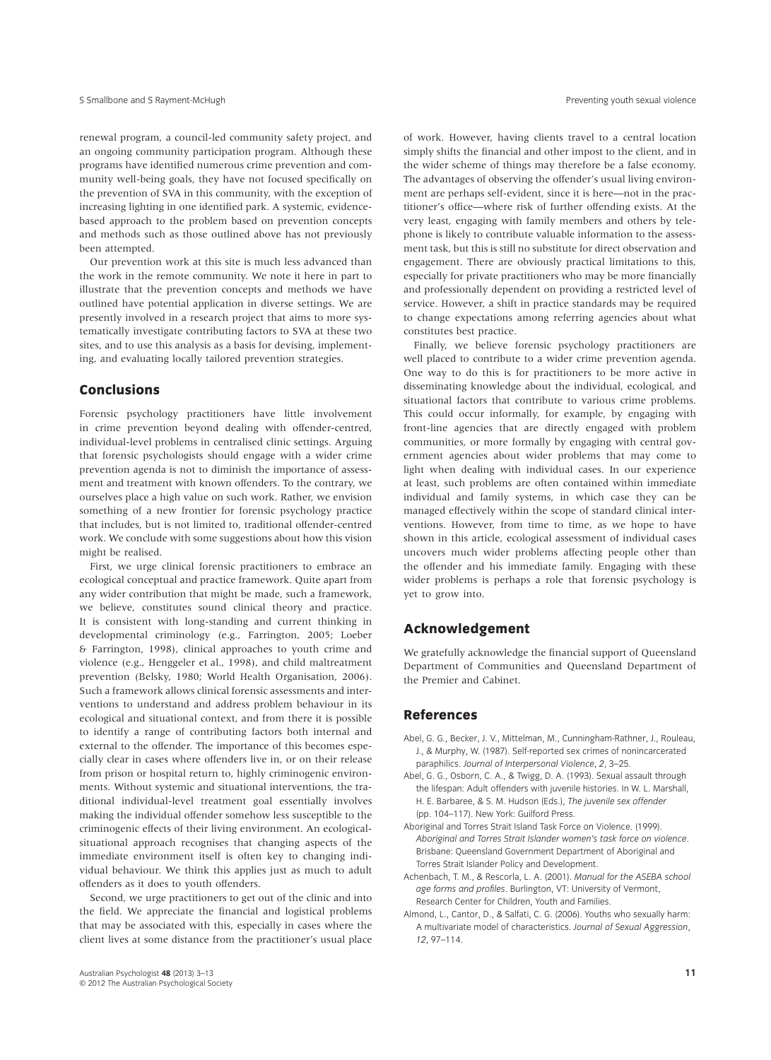renewal program, a council-led community safety project, and an ongoing community participation program. Although these programs have identified numerous crime prevention and community well-being goals, they have not focused specifically on the prevention of SVA in this community, with the exception of increasing lighting in one identified park. A systemic, evidencebased approach to the problem based on prevention concepts and methods such as those outlined above has not previously been attempted.

Our prevention work at this site is much less advanced than the work in the remote community. We note it here in part to illustrate that the prevention concepts and methods we have outlined have potential application in diverse settings. We are presently involved in a research project that aims to more systematically investigate contributing factors to SVA at these two sites, and to use this analysis as a basis for devising, implementing, and evaluating locally tailored prevention strategies.

# **Conclusions**

Forensic psychology practitioners have little involvement in crime prevention beyond dealing with offender-centred, individual-level problems in centralised clinic settings. Arguing that forensic psychologists should engage with a wider crime prevention agenda is not to diminish the importance of assessment and treatment with known offenders. To the contrary, we ourselves place a high value on such work. Rather, we envision something of a new frontier for forensic psychology practice that includes, but is not limited to, traditional offender-centred work. We conclude with some suggestions about how this vision might be realised.

First, we urge clinical forensic practitioners to embrace an ecological conceptual and practice framework. Quite apart from any wider contribution that might be made, such a framework, we believe, constitutes sound clinical theory and practice. It is consistent with long-standing and current thinking in developmental criminology (e.g., Farrington, 2005; Loeber & Farrington, 1998), clinical approaches to youth crime and violence (e.g., Henggeler et al., 1998), and child maltreatment prevention (Belsky, 1980; World Health Organisation, 2006). Such a framework allows clinical forensic assessments and interventions to understand and address problem behaviour in its ecological and situational context, and from there it is possible to identify a range of contributing factors both internal and external to the offender. The importance of this becomes especially clear in cases where offenders live in, or on their release from prison or hospital return to, highly criminogenic environments. Without systemic and situational interventions, the traditional individual-level treatment goal essentially involves making the individual offender somehow less susceptible to the criminogenic effects of their living environment. An ecologicalsituational approach recognises that changing aspects of the immediate environment itself is often key to changing individual behaviour. We think this applies just as much to adult offenders as it does to youth offenders.

Second, we urge practitioners to get out of the clinic and into the field. We appreciate the financial and logistical problems that may be associated with this, especially in cases where the client lives at some distance from the practitioner's usual place

of work. However, having clients travel to a central location simply shifts the financial and other impost to the client, and in the wider scheme of things may therefore be a false economy. The advantages of observing the offender's usual living environment are perhaps self-evident, since it is here—not in the practitioner's office—where risk of further offending exists. At the very least, engaging with family members and others by telephone is likely to contribute valuable information to the assessment task, but this is still no substitute for direct observation and engagement. There are obviously practical limitations to this, especially for private practitioners who may be more financially and professionally dependent on providing a restricted level of service. However, a shift in practice standards may be required to change expectations among referring agencies about what constitutes best practice.

Finally, we believe forensic psychology practitioners are well placed to contribute to a wider crime prevention agenda. One way to do this is for practitioners to be more active in disseminating knowledge about the individual, ecological, and situational factors that contribute to various crime problems. This could occur informally, for example, by engaging with front-line agencies that are directly engaged with problem communities, or more formally by engaging with central government agencies about wider problems that may come to light when dealing with individual cases. In our experience at least, such problems are often contained within immediate individual and family systems, in which case they can be managed effectively within the scope of standard clinical interventions. However, from time to time, as we hope to have shown in this article, ecological assessment of individual cases uncovers much wider problems affecting people other than the offender and his immediate family. Engaging with these wider problems is perhaps a role that forensic psychology is yet to grow into.

# **Acknowledgement**

We gratefully acknowledge the financial support of Queensland Department of Communities and Queensland Department of the Premier and Cabinet.

# **References**

- Abel, G. G., Becker, J. V., Mittelman, M., Cunningham-Rathner, J., Rouleau, J., & Murphy, W. (1987). Self-reported sex crimes of nonincarcerated paraphilics. *Journal of Interpersonal Violence*, *2*, 3–25.
- Abel, G. G., Osborn, C. A., & Twigg, D. A. (1993). Sexual assault through the lifespan: Adult offenders with juvenile histories. In W. L. Marshall, H. E. Barbaree, & S. M. Hudson (Eds.), *The juvenile sex offender* (pp. 104–117). New York: Guilford Press.
- Aboriginal and Torres Strait Island Task Force on Violence. (1999). *Aboriginal and Torres Strait Islander women's task force on violence*. Brisbane: Queensland Government Department of Aboriginal and Torres Strait Islander Policy and Development.
- Achenbach, T. M., & Rescorla, L. A. (2001). *Manual for the ASEBA school age forms and profiles*. Burlington, VT: University of Vermont, Research Center for Children, Youth and Families.
- Almond, L., Cantor, D., & Salfati, C. G. (2006). Youths who sexually harm: A multivariate model of characteristics. *Journal of Sexual Aggression*, *12*, 97–114.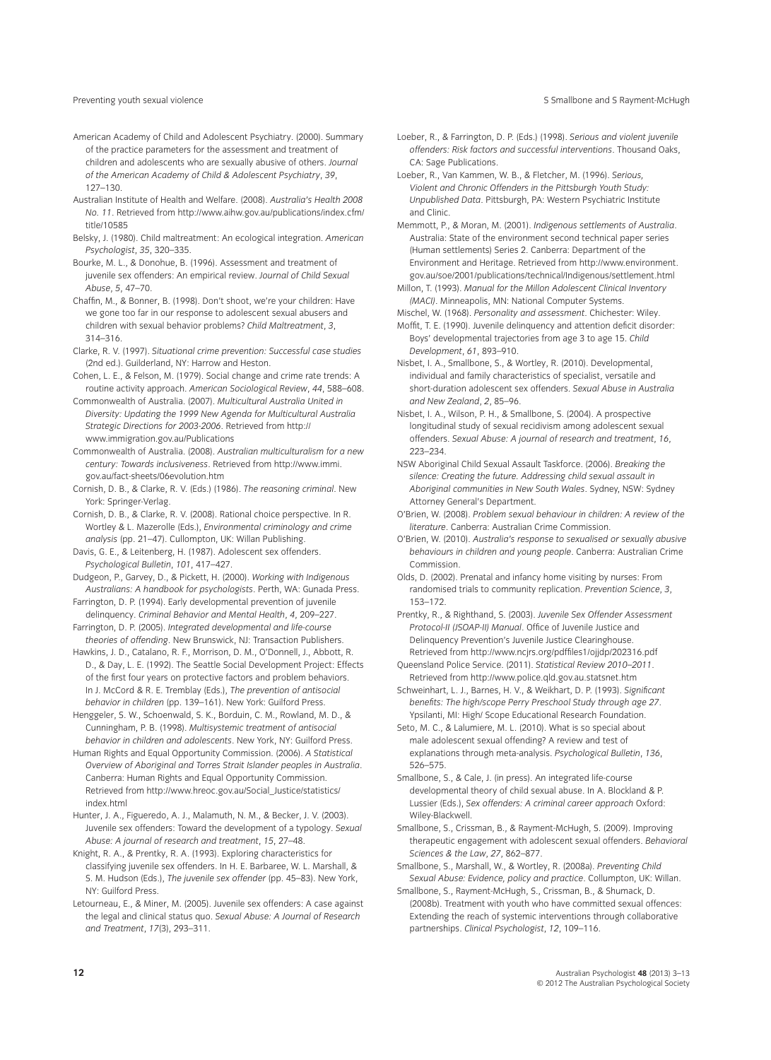#### Preventing youth sexual violence Same School and S Rayment-McHugh sexual violence S Smallbone and S Rayment-McHugh

American Academy of Child and Adolescent Psychiatry. (2000). Summary of the practice parameters for the assessment and treatment of children and adolescents who are sexually abusive of others. *Journal of the American Academy of Child & Adolescent Psychiatry*, *39*, 127–130.

Australian Institute of Health and Welfare. (2008). *Australia's Health 2008 No. 11*. Retrieved from http://www.aihw.gov.au/publications/index.cfm/ title/10585

Belsky, J. (1980). Child maltreatment: An ecological integration. *American Psychologist*, *35*, 320–335.

Bourke, M. L., & Donohue, B. (1996). Assessment and treatment of juvenile sex offenders: An empirical review. *Journal of Child Sexual Abuse*, *5*, 47–70.

Chaffin, M., & Bonner, B. (1998). Don't shoot, we're your children: Have we gone too far in our response to adolescent sexual abusers and children with sexual behavior problems? *Child Maltreatment*, *3*, 314–316.

- Clarke, R. V. (1997). *Situational crime prevention: Successful case studies* (2nd ed.). Guilderland, NY: Harrow and Heston.
- Cohen, L. E., & Felson, M. (1979). Social change and crime rate trends: A routine activity approach. *American Sociological Review*, *44*, 588–608.

Commonwealth of Australia. (2007). *Multicultural Australia United in Diversity: Updating the 1999 New Agenda for Multicultural Australia Strategic Directions for 2003-2006*. Retrieved from http:// www.immigration.gov.au/Publications

Commonwealth of Australia. (2008). *Australian multiculturalism for a new century: Towards inclusiveness*. Retrieved from http://www.immi. gov.au/fact-sheets/06evolution.htm

Cornish, D. B., & Clarke, R. V. (Eds.) (1986). *The reasoning criminal*. New York: Springer-Verlag.

Cornish, D. B., & Clarke, R. V. (2008). Rational choice perspective. In R. Wortley & L. Mazerolle (Eds.), *Environmental criminology and crime analysis* (pp. 21–47). Cullompton, UK: Willan Publishing.

Davis, G. E., & Leitenberg, H. (1987). Adolescent sex offenders. *Psychological Bulletin*, *101*, 417–427.

Dudgeon, P., Garvey, D., & Pickett, H. (2000). *Working with Indigenous Australians: A handbook for psychologists*. Perth, WA: Gunada Press.

Farrington, D. P. (1994). Early developmental prevention of juvenile delinquency. *Criminal Behavior and Mental Health*, *4*, 209–227.

Farrington, D. P. (2005). *Integrated developmental and life-course theories of offending*. New Brunswick, NJ: Transaction Publishers.

Hawkins, J. D., Catalano, R. F., Morrison, D. M., O'Donnell, J., Abbott, R. D., & Day, L. E. (1992). The Seattle Social Development Project: Effects of the first four years on protective factors and problem behaviors. In J. McCord & R. E. Tremblay (Eds.), *The prevention of antisocial behavior in children* (pp. 139–161). New York: Guilford Press.

Henggeler, S. W., Schoenwald, S. K., Borduin, C. M., Rowland, M. D., & Cunningham, P. B. (1998). *Multisystemic treatment of antisocial behavior in children and adolescents*. New York, NY: Guilford Press.

Human Rights and Equal Opportunity Commission. (2006). *A Statistical Overview of Aboriginal and Torres Strait Islander peoples in Australia*. Canberra: Human Rights and Equal Opportunity Commission. Retrieved from http://www.hreoc.gov.au/Social\_Justice/statistics/ index.html

Hunter, J. A., Figueredo, A. J., Malamuth, N. M., & Becker, J. V. (2003). Juvenile sex offenders: Toward the development of a typology. *Sexual Abuse: A journal of research and treatment*, *15*, 27–48.

Knight, R. A., & Prentky, R. A. (1993). Exploring characteristics for classifying juvenile sex offenders. In H. E. Barbaree, W. L. Marshall, & S. M. Hudson (Eds.), *The juvenile sex offender* (pp. 45–83). New York, NY: Guilford Press.

Letourneau, E., & Miner, M. (2005). Juvenile sex offenders: A case against the legal and clinical status quo. *Sexual Abuse: A Journal of Research and Treatment*, *17*(3), 293–311.

Loeber, R., & Farrington, D. P. (Eds.) (1998). *Serious and violent juvenile offenders: Risk factors and successful interventions*. Thousand Oaks, CA: Sage Publications.

Loeber, R., Van Kammen, W. B., & Fletcher, M. (1996). *Serious, Violent and Chronic Offenders in the Pittsburgh Youth Study: Unpublished Data*. Pittsburgh, PA: Western Psychiatric Institute and Clinic.

Memmott, P., & Moran, M. (2001). *Indigenous settlements of Australia*. Australia: State of the environment second technical paper series (Human settlements) Series 2. Canberra: Department of the Environment and Heritage. Retrieved from http://www.environment. gov.au/soe/2001/publications/technical/Indigenous/settlement.html

- Millon, T. (1993). *Manual for the Millon Adolescent Clinical Inventory (MACI)*. Minneapolis, MN: National Computer Systems.
- Mischel, W. (1968). *Personality and assessment*. Chichester: Wiley.

Moffit, T. E. (1990). Juvenile delinquency and attention deficit disorder: Boys' developmental trajectories from age 3 to age 15. *Child Development*, *61*, 893–910.

Nisbet, I. A., Smallbone, S., & Wortley, R. (2010). Developmental, individual and family characteristics of specialist, versatile and short-duration adolescent sex offenders. *Sexual Abuse in Australia and New Zealand*, *2*, 85–96.

Nisbet, I. A., Wilson, P. H., & Smallbone, S. (2004). A prospective longitudinal study of sexual recidivism among adolescent sexual offenders. *Sexual Abuse: A journal of research and treatment*, *16*, 223–234.

NSW Aboriginal Child Sexual Assault Taskforce. (2006). *Breaking the silence: Creating the future. Addressing child sexual assault in Aboriginal communities in New South Wales*. Sydney, NSW: Sydney Attorney General's Department.

O'Brien, W. (2008). *Problem sexual behaviour in children: A review of the literature*. Canberra: Australian Crime Commission.

O'Brien, W. (2010). *Australia's response to sexualised or sexually abusive behaviours in children and young people*. Canberra: Australian Crime Commission.

Olds, D. (2002). Prenatal and infancy home visiting by nurses: From randomised trials to community replication. *Prevention Science*, *3*, 153–172.

Prentky, R., & Righthand, S. (2003). *Juvenile Sex Offender Assessment Protocol-II (JSOAP-II) Manual*. Office of Juvenile Justice and Delinquency Prevention's Juvenile Justice Clearinghouse. Retrieved from http://www.ncjrs.org/pdffiles1/ojjdp/202316.pdf

Queensland Police Service. (2011). *Statistical Review 2010–2011*. Retrieved from http://www.police.qld.gov.au.statsnet.htm

Schweinhart, L. J., Barnes, H. V., & Weikhart, D. P. (1993). *Significant benefits: The high/scope Perry Preschool Study through age 27*. Ypsilanti, MI: High/ Scope Educational Research Foundation.

Seto, M. C., & Lalumiere, M. L. (2010). What is so special about male adolescent sexual offending? A review and test of explanations through meta-analysis. *Psychological Bulletin*, *136*, 526–575.

Smallbone, S., & Cale, J. (in press). An integrated life-course developmental theory of child sexual abuse. In A. Blockland & P. Lussier (Eds.), *Sex offenders: A criminal career approach* Oxford: Wiley-Blackwell.

Smallbone, S., Crissman, B., & Rayment-McHugh, S. (2009). Improving therapeutic engagement with adolescent sexual offenders. *Behavioral Sciences & the Law*, *27*, 862–877.

Smallbone, S., Marshall, W., & Wortley, R. (2008a). *Preventing Child Sexual Abuse: Evidence, policy and practice*. Collumpton, UK: Willan.

Smallbone, S., Rayment-McHugh, S., Crissman, B., & Shumack, D. (2008b). Treatment with youth who have committed sexual offences: Extending the reach of systemic interventions through collaborative partnerships. *Clinical Psychologist*, *12*, 109–116.